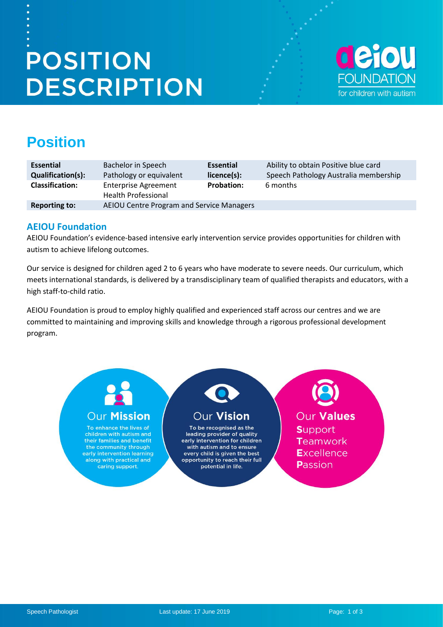# **POSITION DESCRIPTION**



# **Position**

| <b>Essential</b>         | Bachelor in Speech                          | <b>Essential</b>  | Ability to obtain Positive blue card  |
|--------------------------|---------------------------------------------|-------------------|---------------------------------------|
| <b>Qualification(s):</b> | Pathology or equivalent                     | licence(s):       | Speech Pathology Australia membership |
| <b>Classification:</b>   | Enterprise Agreement<br>Health Professional | <b>Probation:</b> | 6 months                              |
| <b>Reporting to:</b>     | AEIOU Centre Program and Service Managers   |                   |                                       |

### **AEIOU Foundation**

AEIOU Foundation's evidence-based intensive early intervention service provides opportunities for children with autism to achieve lifelong outcomes.

Our service is designed for children aged 2 to 6 years who have moderate to severe needs. Our curriculum, which meets international standards, is delivered by a transdisciplinary team of qualified therapists and educators, with a high staff-to-child ratio.

AEIOU Foundation is proud to employ highly qualified and experienced staff across our centres and we are committed to maintaining and improving skills and knowledge through a rigorous professional development program.

# **Our Mission**

To enhance the lives of children with autism and their families and benefit the community through early intervention learning along with practical and caring support.

# **Our Vision**

To be recognised as the leading provider of quality early intervention for children with autism and to ensure every child is given the best opportunity to reach their full potential in life.

Our **Values Support** Teamwork **Excellence** Passion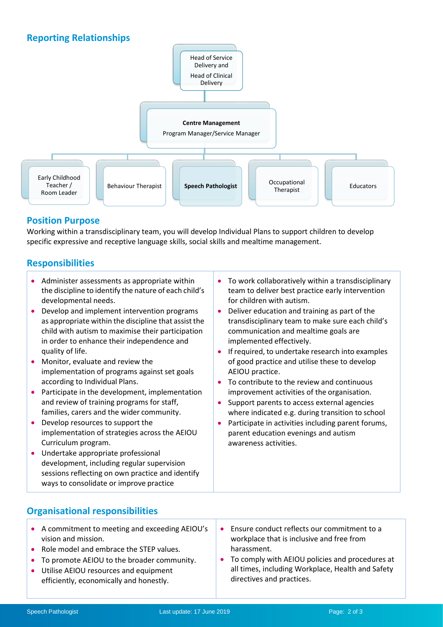# **Reporting Relationships**



### **Position Purpose**

Working within a transdisciplinary team, you will develop Individual Plans to support children to develop specific expressive and receptive language skills, social skills and mealtime management.

## **Responsibilities**

- Administer assessments as appropriate within the discipline to identify the nature of each child's developmental needs.
- Develop and implement intervention programs as appropriate within the discipline that assist the child with autism to maximise their participation in order to enhance their independence and quality of life.
- Monitor, evaluate and review the implementation of programs against set goals according to Individual Plans.
- Participate in the development, implementation and review of training programs for staff, families, carers and the wider community.
- Develop resources to support the implementation of strategies across the AEIOU Curriculum program.
- Undertake appropriate professional development, including regular supervision sessions reflecting on own practice and identify ways to consolidate or improve practice
- 
- To work collaboratively within a transdisciplinary team to deliver best practice early intervention for children with autism.
- Deliver education and training as part of the transdisciplinary team to make sure each child's communication and mealtime goals are implemented effectively.
- **If required, to undertake research into examples** of good practice and utilise these to develop AEIOU practice.
- To contribute to the review and continuous improvement activities of the organisation.
- Support parents to access external agencies where indicated e.g. during transition to school
- Participate in activities including parent forums, parent education evenings and autism awareness activities.

- **Organisational responsibilities**
	- A commitment to meeting and exceeding AEIOU's vision and mission. • Role model and embrace the STEP values. **Ensure conduct reflects our commitment to a** workplace that is inclusive and free from harassment.
		- To promote AEIOU to the broader community.
- Utilise AEIOU resources and equipment efficiently, economically and honestly.
- 
- To comply with AEIOU policies and procedures at all times, including Workplace, Health and Safety directives and practices.